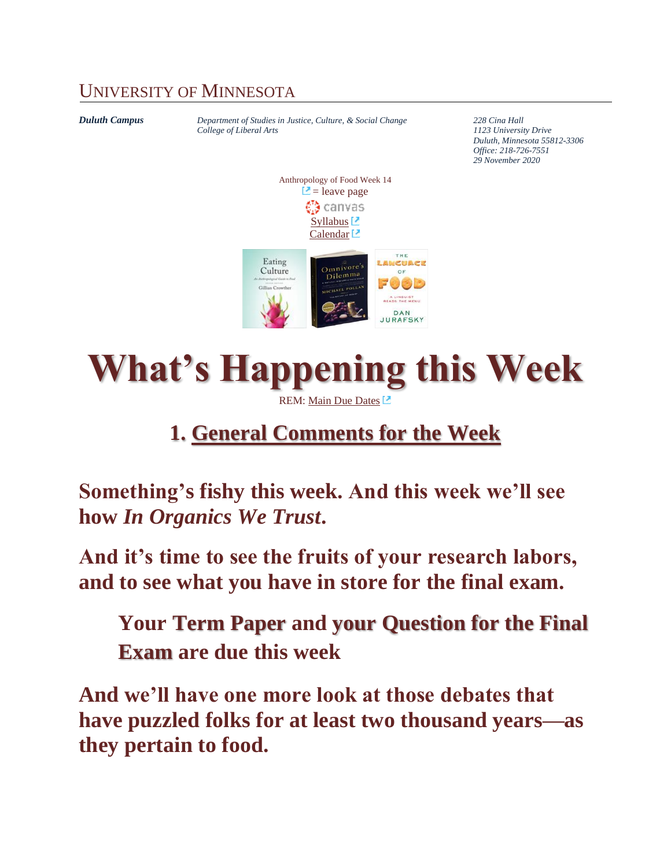### UNIVERSITY OF MINNESOTA

*Duluth Campus Department of Studies in Justice, Culture, & Social Change 228 Cina Hall College of Liberal Arts 1123 University Drive Duluth, Minnesota 55812-3306 Office: 218-726-7551 29 November 2020* Anthropology of Food Week 14  $\Box$  = leave page €∂ canvas [Syllabus](https://canvas.umn.edu/courses/149026/assignments/syllabus)  $\Box$ [Calendar](https://canvas.umn.edu/calendar)<sup>1</sup> THE Eating LANCUACE  $Omnivore's$ Culture OF  $\overline{\text{D}}$ ilemma HAEL POLL Gillian Crowthe A LINGUIST<br>READS THE MENU DAN JURAFSKY

# **What's Happening this Week**

### REM: [Main Due Dates](https://www.d.umn.edu/cla/faculty/troufs/anthfood/afdue-dates.html#title)

## **1. [General Comments for the Week](#page-5-0)**

**Something's fishy this week. And this week we'll see how** *In Organics We Trust***.** 

**And it's time to see the fruits of your research labors, and to see what you have in store for the final exam.**

**Your Term Paper and your Question for the Final Exam are due this week**

**And we'll have one more look at those debates that have puzzled folks for at least two thousand years—as they pertain to food.**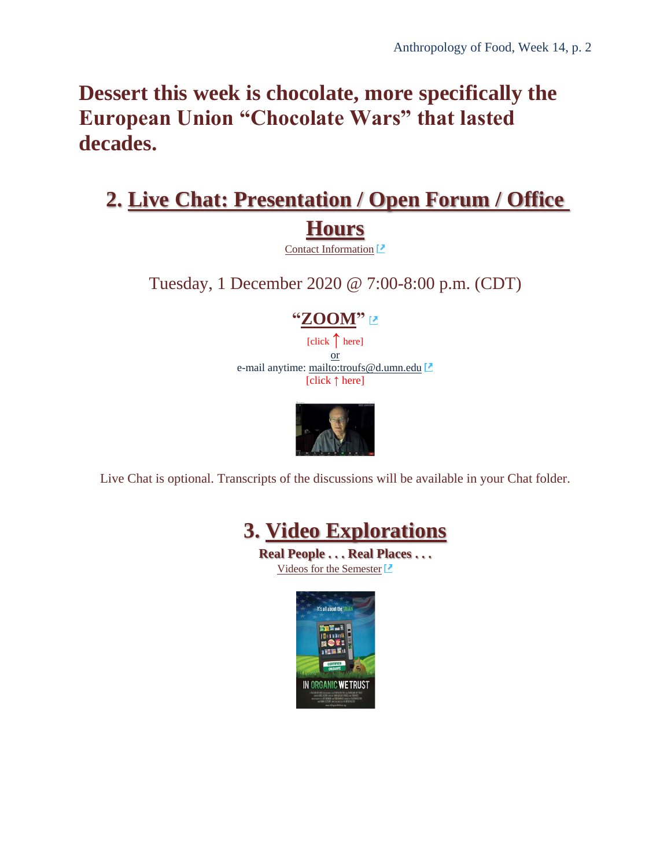## **Dessert this week is chocolate, more specifically the European Union "Chocolate Wars" that lasted decades.**

## **2. Live [Chat: Presentation / Open Forum / Office](#page-5-1)  [Hours](#page-5-1)**

[Contact Information](http://www.d.umn.edu/cla/faculty/troufs/anth1602/pcoffice.html#title)<sup>[2]</sup>

Tuesday, 1 December 2020 @ 7:00-8:00 p.m. (CDT)

#### **["ZOOM"](https://umn.zoom.us/my/troufs)**

[click **↑** here] or e-mail anytime: <mailto:troufs@d.umn.edu> [click **↑** here]



Live Chat is optional. Transcripts of the discussions will be available in your Chat folder.



**Real People . . . Real Places . . .** [Videos for the Semester](https://www.d.umn.edu/cla/faculty/troufs/anthfood/afvideo_schedule.html#title)

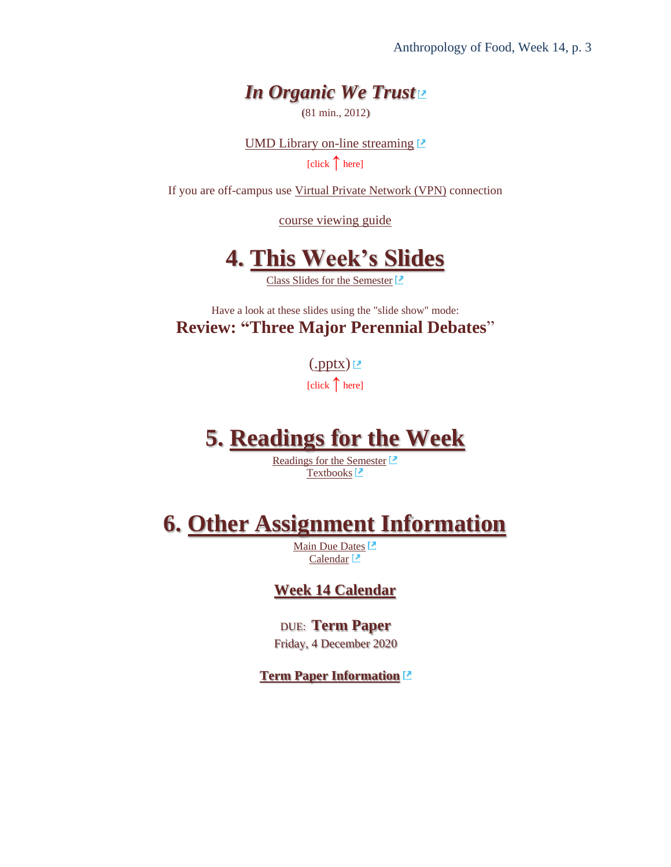### *In Organic We Trust*

(81 min., 2012)

[UMD Library on-line streaming](https://na01.alma.exlibrisgroup.com/view/action/uresolver.do?operation=resolveService&package_service_id=2264719161550001701&institutionId=1701&customerId=1700)  $\Box$ [click **↑** here]

If you are off-campus use [Virtual Private Network \(VPN\)](http://www.d.umn.edu/itss/vpn/) connection

[course viewing guide](https://www.d.umn.edu/cla/faculty/troufs/anthfood/video/In_Organic_We_Trust.html)



[Class Slides for the Semester](http://www.d.umn.edu/cla/faculty/troufs/anthfood/afslides.html#title) L

Have a look at these slides using the "slide show" mode: **Review: "Three Major Perennial Debates**"

 $(\text{.pptx})$ 

[click **↑** here]

## **5. [Readings for the Week](#page-8-0)**

[Readings for the Semester](https://www.d.umn.edu/cla/faculty/troufs/anthfood/afread-s.html#title) [Textbooks](http://www.d.umn.edu/cla/faculty/troufs/anthfood/aftexts.html#title)<sup>[2]</sup>

### **6. [Other Assignment Information](#page-8-1)**

[Main Due Dates](https://www.d.umn.edu/cla/faculty/troufs/anthfood/afdue-dates.html#title)<sup>[2]</sup> [Calendar](https://canvas.umn.edu/calendar)<sup>1</sup>

#### **Week 14 [Calendar](#page-8-2)**

DUE: **Term Paper** Friday, 4 December 2020

**[Term Paper Information](http://www.d.umn.edu/cla/faculty/troufs/anthfood/afterm_paper.html#title)**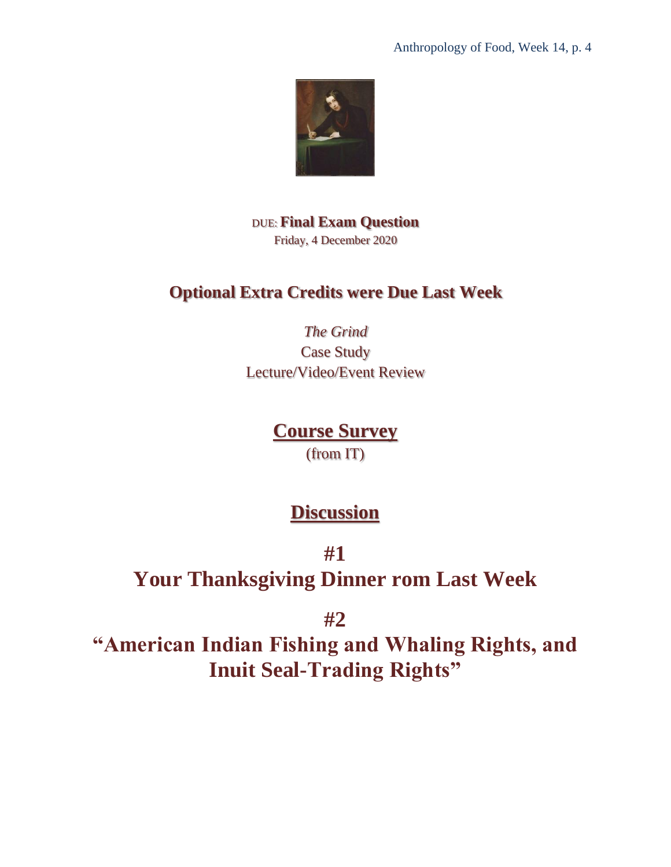

DUE: **Final Exam Question** Friday, 4 December 2020

### **Optional Extra Credits were Due Last Week**

*The Grind* Case Study Lecture/Video/Event Review

### **[Course Survey](#page-10-0)**

(from IT)

### **[Discussion](#page-11-0)**

**#1**

**Your Thanksgiving Dinner rom Last Week**

**#2**

**"American Indian Fishing and Whaling Rights, and Inuit Seal-Trading Rights"**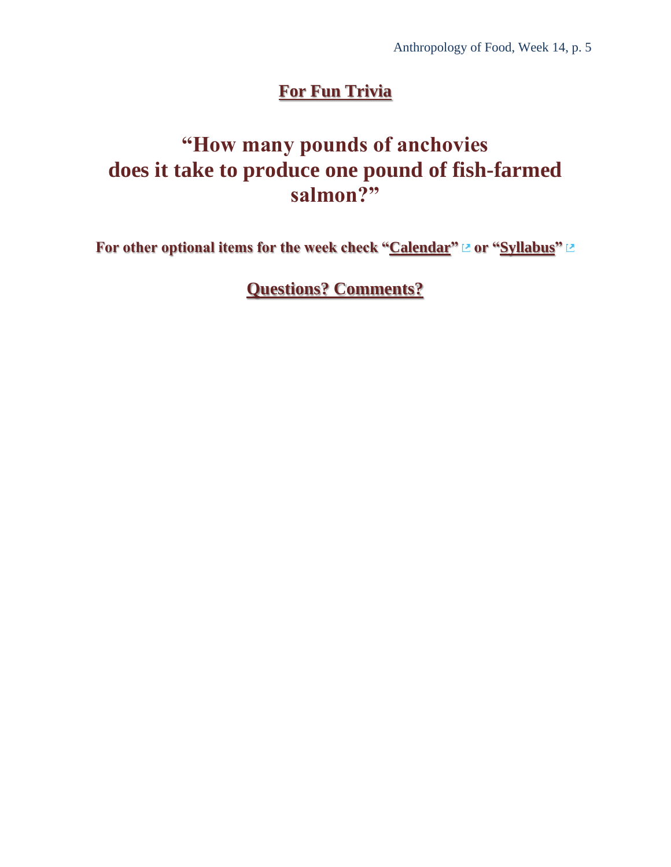### **[For Fun Trivia](#page-12-0)**

## **"How many pounds of anchovies does it take to produce one pound of fish-farmed salmon?"**

**For other optional items for the week check ["Calendar"](https://canvas.umn.edu/calendar) or ["Syllabus"](https://canvas.umn.edu/courses/184152/assignments/syllabus)** 

**[Questions? Comments?](#page-13-0)**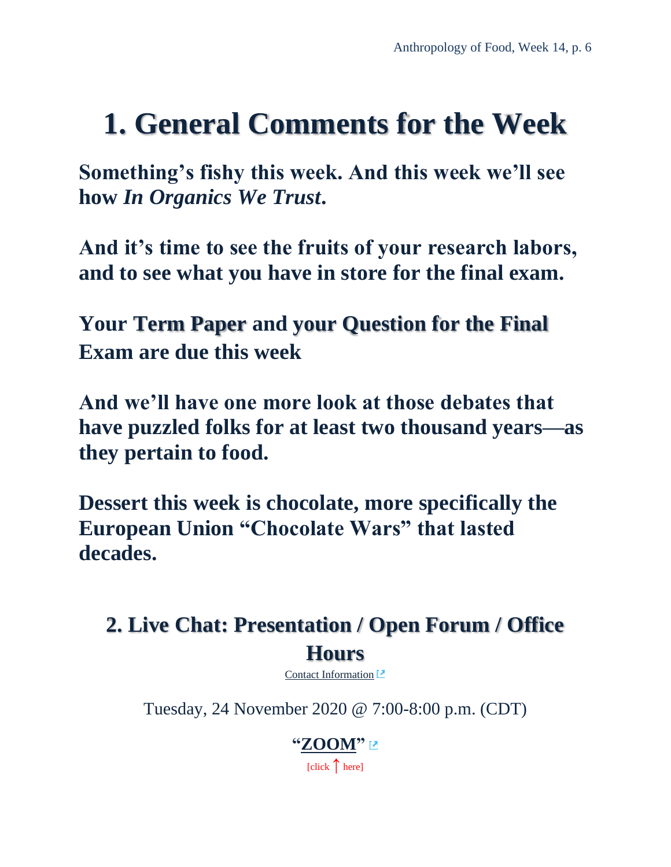## <span id="page-5-0"></span>**1. General Comments for the Week**

**Something's fishy this week. And this week we'll see how** *In Organics We Trust***.** 

**And it's time to see the fruits of your research labors, and to see what you have in store for the final exam.**

**Your Term Paper and your Question for the Final Exam are due this week**

**And we'll have one more look at those debates that have puzzled folks for at least two thousand years—as they pertain to food.**

**Dessert this week is chocolate, more specifically the European Union "Chocolate Wars" that lasted decades.**

## <span id="page-5-1"></span>**2. Live Chat: Presentation / Open Forum / Office Hours**

[Contact Information](http://www.d.umn.edu/cla/faculty/troufs/anth1602/pcoffice.html#title)<sup>[2]</sup>

Tuesday, 24 November 2020 @ 7:00-8:00 p.m. (CDT)

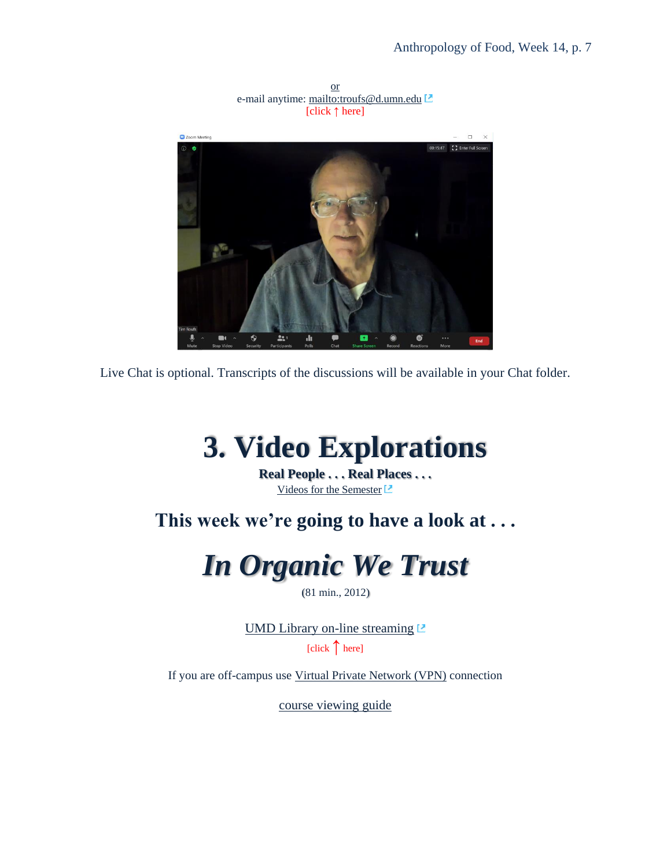

or e-mail anytime: <mailto:troufs@d.umn.edu> [click **↑** here]

<span id="page-6-0"></span>Live Chat is optional. Transcripts of the discussions will be available in your Chat folder.

## **3. Video Explorations**

**Real People . . . Real Places . . .** [Videos for the Semester](https://www.d.umn.edu/cla/faculty/troufs/anthfood/afvideo_schedule.html#title)<sup>[2]</sup>

**This week we're going to have a look at . . .**

## *In Organic We Trust*

(81 min., 2012)

[UMD Library on-line streaming](https://na01.alma.exlibrisgroup.com/view/action/uresolver.do?operation=resolveService&package_service_id=2264719161550001701&institutionId=1701&customerId=1700)  $\Box$ 

 $[click \n{\uparrow} here]$ 

<span id="page-6-1"></span>If you are off-campus use [Virtual Private Network \(VPN\)](http://www.d.umn.edu/itss/vpn/) connection

[course viewing guide](https://www.d.umn.edu/cla/faculty/troufs/anthfood/video/In_Organic_We_Trust.html)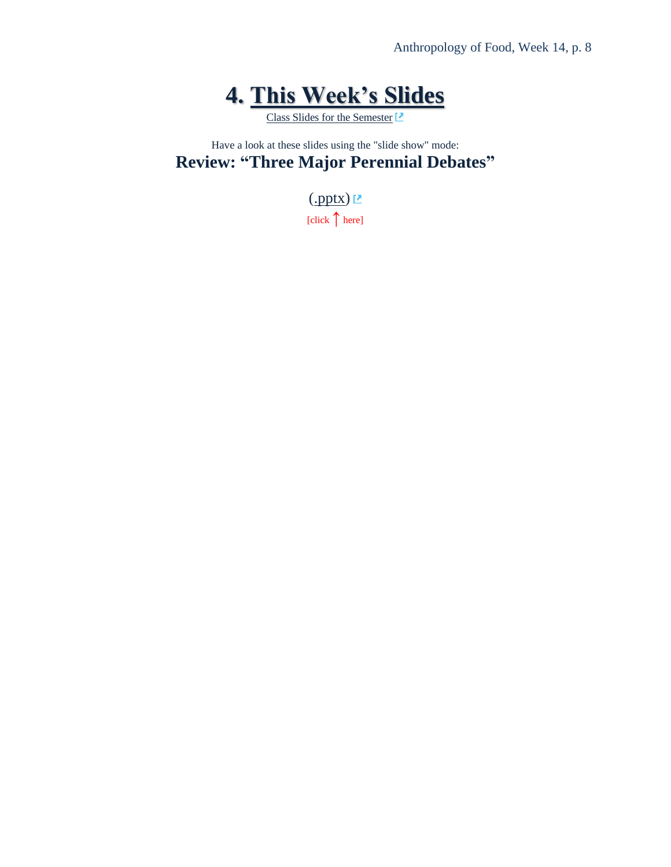## **4. This Week's Slides**

[Class Slides for the Semester](http://www.d.umn.edu/cla/faculty/troufs/anthfood/afslides.html#title)<sup>[2]</sup>

Have a look at these slides using the "slide show" mode: **Review: "Three Major Perennial Debates"**

> $(\underline{.pptX})$ [click **↑** here]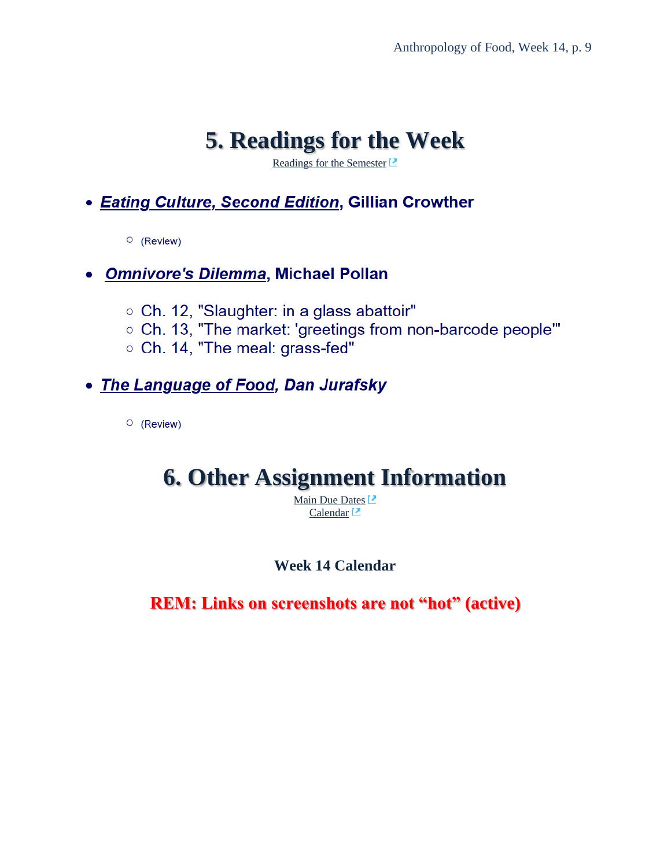## **5. [Readings](#page-8-0) for the Week**

[Readings for the Semester](https://www.d.umn.edu/cla/faculty/troufs/anthfood/afread-s.html#title)<sup>[2]</sup>

### <span id="page-8-0"></span>• Eating Culture, Second Edition, Gillian Crowther

 $\circ$  (Review)

#### • Omnivore's Dilemma, Michael Pollan

- Ch. 12, "Slaughter: in a glass abattoir"
- o Ch. 13, "The market: 'greetings from non-barcode people'"
- Ch. 14, "The meal: grass-fed"

### • The Language of Food, Dan Jurafsky

<span id="page-8-1"></span> $\circ$  (Review)

## **6. Other Assignment Information**

[Main Due Dates](https://www.d.umn.edu/cla/faculty/troufs/anthfood/afdue-dates.html#title)<sup>[2]</sup> [Calendar](https://canvas.umn.edu/calendar)<sup>1</sup>

#### **Week 14 Calendar**

<span id="page-8-2"></span>**REM: Links on screenshots are not "hot" (active)**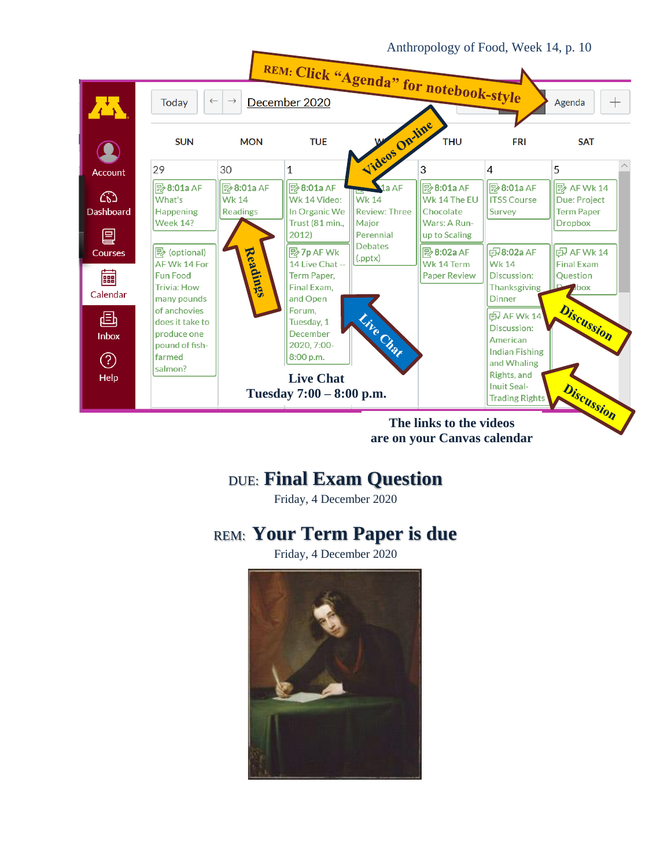

**The links to the videos are on your Canvas calendar** 

### DUE: **Final Exam Question**

Friday, 4 December 2020

### REM: **Your Term Paper is due**

Friday, 4 December 2020

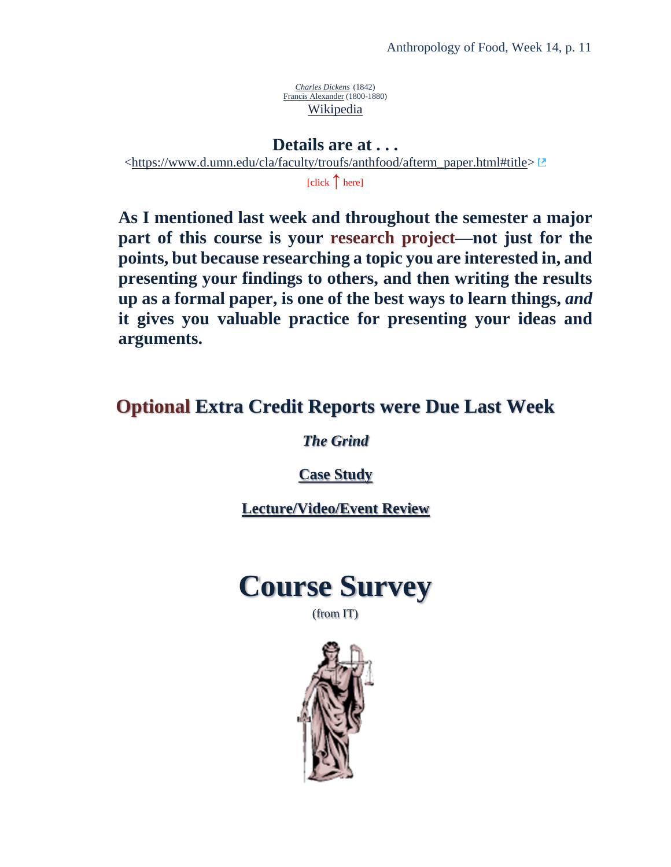*[Charles Dickens](http://en.wikipedia.org/wiki/File:Francis_Alexander_-_Charles_Dickens_1842.jpeg)* (1842) [Francis Alexander](http://en.wikipedia.org/wiki/Francis_Alexander) (1800-1880) [Wikipedia](http://en.wikipedia.org/wiki/Main_Page)

**Details are at . . .** [<https://www.d.umn.edu/cla/faculty/troufs/anthfood/afterm\\_paper.html#title>](https://www.d.umn.edu/cla/faculty/troufs/anthfood/afterm_paper.html#title)

[click **↑** here]

**As I mentioned last week and throughout the semester a major part of this course is your research project—not just for the points, but because researching a topic you are interested in, and presenting your findings to others, and then writing the results up as a formal paper, is one of the best ways to learn things,** *and* **it gives you valuable practice for presenting your ideas and arguments.**

### <span id="page-10-0"></span>**Optional Extra Credit Reports were Due Last Week**

*The Grind*

**[Case Study](http://www.d.umn.edu/cla/faculty/troufs/anthfood/afextracredit_cs.html#title)**

**[Lecture/Video/Event Review](http://www.d.umn.edu/cla/faculty/troufs/anthfood/afextracredit_review.html#title)**



(from IT)

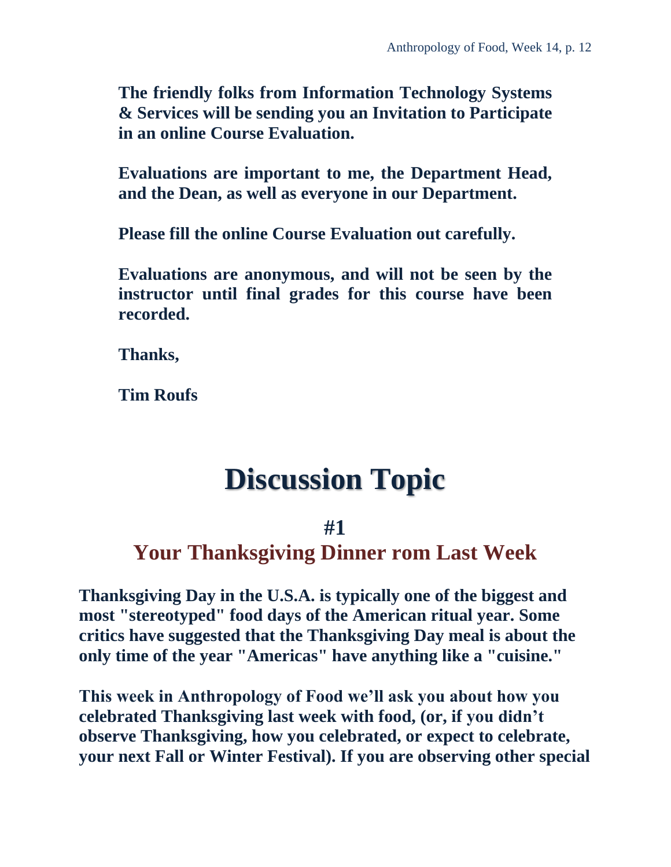**The friendly folks from Information Technology Systems & Services will be sending you an Invitation to Participate in an online Course Evaluation.**

**Evaluations are important to me, the Department Head, and the Dean, as well as everyone in our Department.**

**Please fill the online Course Evaluation out carefully.**

**Evaluations are anonymous, and will not be seen by the instructor until final grades for this course have been recorded.**

**Thanks,**

<span id="page-11-0"></span>**Tim Roufs**

## **Discussion Topic**

### **#1**

### **Your Thanksgiving Dinner rom Last Week**

**Thanksgiving Day in the U.S.A. is typically one of the biggest and most "stereotyped" food days of the American ritual year. Some critics have suggested that the Thanksgiving Day meal is about the only time of the year "Americas" have anything like a "cuisine."**

**This week in Anthropology of Food we'll ask you about how you celebrated Thanksgiving last week with food, (or, if you didn't observe Thanksgiving, how you celebrated, or expect to celebrate, your next Fall or Winter Festival). If you are observing other special**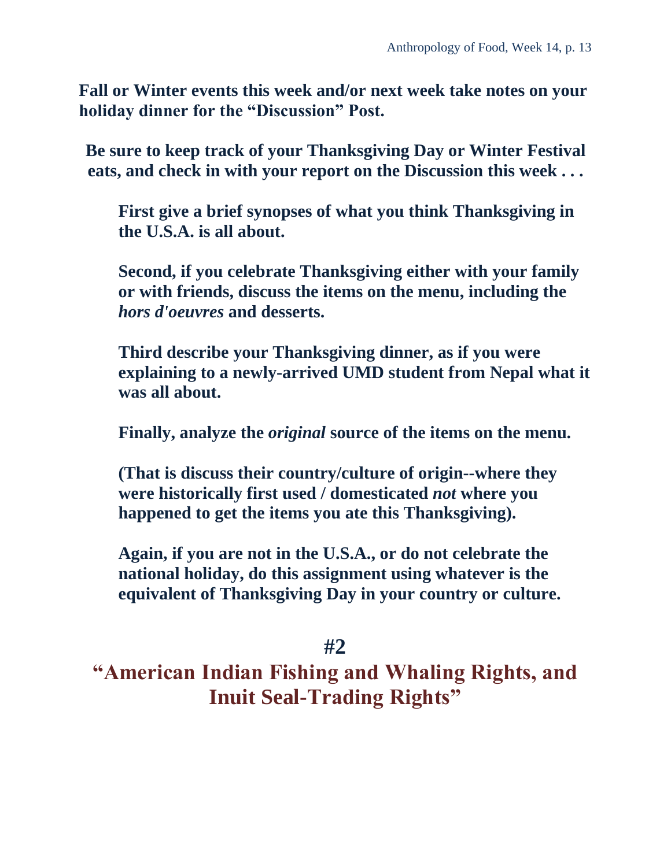**Fall or Winter events this week and/or next week take notes on your holiday dinner for the "Discussion" Post.**

**Be sure to keep track of your Thanksgiving Day or Winter Festival eats, and check in with your report on the Discussion this week . . .**

**First give a brief synopses of what you think Thanksgiving in the U.S.A. is all about.**

**Second, if you celebrate Thanksgiving either with your family or with friends, discuss the items on the menu, including the**  *hors d'oeuvres* **and desserts.** 

**Third describe your Thanksgiving dinner, as if you were explaining to a newly-arrived UMD student from Nepal what it was all about.**

**Finally, analyze the** *original* **source of the items on the menu.** 

**(That is discuss their country/culture of origin--where they were historically first used / domesticated** *not* **where you happened to get the items you ate this Thanksgiving).**

**Again, if you are not in the U.S.A., or do not celebrate the national holiday, do this assignment using whatever is the equivalent of Thanksgiving Day in your country or culture.**

#### **#2**

<span id="page-12-0"></span>**"American Indian Fishing and Whaling Rights, and Inuit Seal-Trading Rights"**